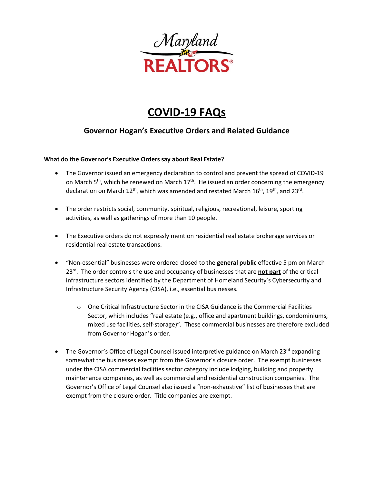

# **COVID-19 FAQs**

## **Governor Hogan's Executive Orders and Related Guidance**

#### **What do the Governor's Executive Orders say about Real Estate?**

- The Governor issued an emergency declaration to control and prevent the spread of COVID-19 on March  $5<sup>th</sup>$ , which he renewed on March  $17<sup>th</sup>$ . He issued an order concerning the emergency declaration on March  $12^{th}$ , which was amended and restated March  $16^{th}$ ,  $19^{th}$ , and  $23^{rd}$ .
- The order restricts social, community, spiritual, religious, recreational, leisure, sporting activities, as well as gatherings of more than 10 people.
- The Executive orders do not expressly mention residential real estate brokerage services or residential real estate transactions.
- "Non-essential" businesses were ordered closed to the **general public** effective 5 pm on March 23rd. The order controls the use and occupancy of businesses that are **not part** of the critical infrastructure sectors identified by the Department of Homeland Security's Cybersecurity and Infrastructure Security Agency (CISA), i.e., essential businesses.
	- o One Critical Infrastructure Sector in the CISA Guidance is the Commercial Facilities Sector, which includes "real estate (e.g., office and apartment buildings, condominiums, mixed use facilities, self-storage)". These commercial businesses are therefore excluded from Governor Hogan's order.
- The Governor's Office of Legal Counsel issued interpretive guidance on March 23 $^{rd}$  expanding somewhat the businesses exempt from the Governor's closure order. The exempt businesses under the CISA commercial facilities sector category include lodging, building and property maintenance companies, as well as commercial and residential construction companies. The Governor's Office of Legal Counsel also issued a "non-exhaustive" list of businesses that are exempt from the closure order. Title companies are exempt.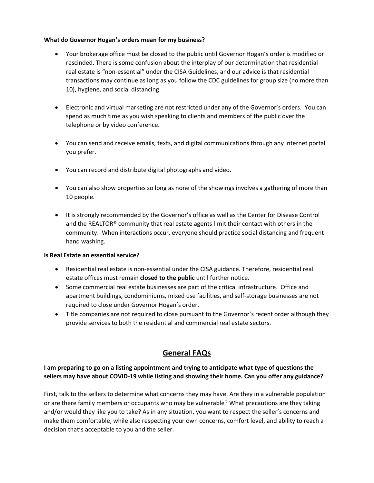#### **What do Governor Hogan's orders mean for my business?**

- Your brokerage office must be closed to the public until Governor Hogan's order is modified or rescinded. There is some confusion about the interplay of our determination that residential real estate is "non-essential" under the CISA Guidelines, and our advice is that residential transactions may continue as long as you follow the CDC guidelines for group size (no more than 10), hygiene, and social distancing.
- Electronic and virtual marketing are not restricted under any of the Governor's orders. You can spend as much time as you wish speaking to clients and members of the public over the telephone or by video conference.
- You can send and receive emails, texts, and digital communications through any internet portal you prefer.
- You can record and distribute digital photographs and video.
- You can also show properties so long as none of the showings involves a gathering of more than 10 people.
- It is strongly recommended by the Governor's office as well as the Center for Disease Control and the REALTOR® community that real estate agents limit their contact with others in the community. When interactions occur, everyone should practice social distancing and frequent hand washing.

#### **Is Real Estate an essential service?**

- Residential real estate is non-essential under the CISA guidance. Therefore, residential real estate offices must remain **closed to the public** until further notice.
- Some commercial real estate businesses are part of the critical infrastructure. Office and apartment buildings, condominiums, mixed use facilities, and self-storage businesses are not required to close under Governor Hogan's order.
- Title companies are not required to close pursuant to the Governor's recent order although they provide services to both the residential and commercial real estate sectors.

## **General FAQs**

#### **I am preparing to go on a listing appointment and trying to anticipate what type of questions the sellers may have about COVID-19 while listing and showing their home. Can you offer any guidance?**

First, talk to the sellers to determine what concerns they may have. Are they in a vulnerable population or are there family members or occupants who may be vulnerable? What precautions are they taking and/or would they like you to take? As in any situation, you want to respect the seller's concerns and make them comfortable, while also respecting your own concerns, comfort level, and ability to reach a decision that's acceptable to you and the seller.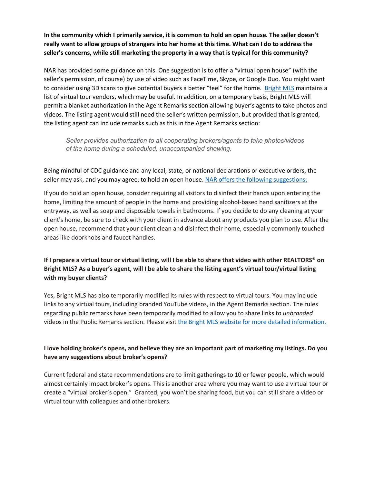**In the community which I primarily service, it is common to hold an open house. The seller doesn't really want to allow groups of strangers into her home at this time. What can I do to address the seller's concerns, while still marketing the property in a way that is typical for this community?** 

NAR has provided some guidance on this. One suggestion is to offer a "virtual open house" (with the seller's permission, of course) by use of video such as FaceTime, Skype, or Google Duo. You might want to consider using 3D scans to give potential buyers a better "feel" for the home. [Bright MLS](https://www.brightmls.com/#/home) maintains a list of virtual tour vendors, which may be useful. In addition, on a temporary basis, Bright MLS will permit a blanket authorization in the Agent Remarks section allowing buyer's agents to take photos and videos. The listing agent would still need the seller's written permission, but provided that is granted, the listing agent can include remarks such as this in the Agent Remarks section:

*Seller provides authorization to all cooperating brokers/agents to take photos/videos of the home during a scheduled, unaccompanied showing.*

Being mindful of CDC guidance and any local, state, or national declarations or executive orders, the seller may ask, and you may agree, to hold an open house. [NAR offers the following suggestions:](https://www.nar.realtor/coronavirus-a-guide-for-realtors)

If you do hold an open house, consider requiring all visitors to disinfect their hands upon entering the home, limiting the amount of people in the home and providing alcohol-based hand sanitizers at the entryway, as well as soap and disposable towels in bathrooms. If you decide to do any cleaning at your client's home, be sure to check with your client in advance about any products you plan to use. After the open house, recommend that your client clean and disinfect their home, especially commonly touched areas like doorknobs and faucet handles.

#### **If I prepare a virtual tour or virtual listing, will I be able to share that video with other REALTORS® on Bright MLS? As a buyer's agent, will I be able to share the listing agent's virtual tour/virtual listing with my buyer clients?**

Yes, Bright MLS has also temporarily modified its rules with respect to virtual tours. You may include links to any virtual tours, including branded YouTube videos, in the Agent Remarks section. The rules regarding public remarks have been temporarily modified to allow you to share links to *unbranded* videos in the Public Remarks section. Please visi[t the Bright MLS website for more detailed information.](https://www.brightmls.com/#/article/12025)

#### **I love holding broker's opens, and believe they are an important part of marketing my listings. Do you have any suggestions about broker's opens?**

Current federal and state recommendations are to limit gatherings to 10 or fewer people, which would almost certainly impact broker's opens. This is another area where you may want to use a virtual tour or create a "virtual broker's open."Granted, you won't be sharing food, but you can still share a video or virtual tour with colleagues and other brokers.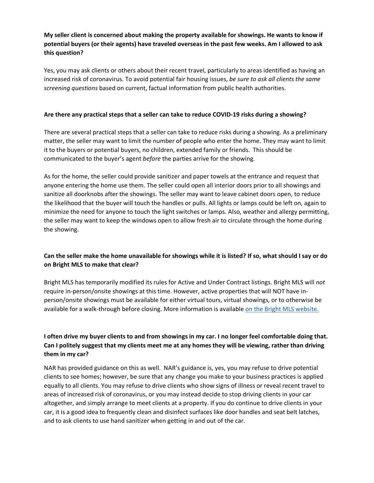#### **My seller client is concerned about making the property available for showings. He wants to know if potential buyers (or their agents) have traveled overseas in the past few weeks. Am I allowed to ask this question?**

Yes, you may ask clients or others about their recent travel, particularly to areas identified as having an increased risk of coronavirus. To avoid potential fair housing issues, *be sure to ask all clients the same screening questions* based on current, factual information from public health authorities.

#### **Are there any practical steps that a seller can take to reduce COVID-19 risks during a showing?**

There are several practical steps that a seller can take to reduce risks during a showing. As a preliminary matter, the seller may want to limit the number of people who enter the home. They may want to limit it to the buyers or potential buyers, no children, extended family or friends. This should be communicated to the buyer's agent *before* the parties arrive for the showing.

As for the home, the seller could provide sanitizer and paper towels at the entrance and request that anyone entering the home use them. The seller could open all interior doors prior to all showings and sanitize all doorknobs after the showings. The seller may want to leave cabinet doors open, to reduce the likelihood that the buyer will touch the handles or pulls. All lights or lamps could be left on, again to minimize the need for anyone to touch the light switches or lamps. Also, weather and allergy permitting, the seller may want to keep the windows open to allow fresh air to circulate through the home during the showing.

#### **Can the seller make the home unavailable for showings while it is listed? If so, what should I say or do on Bright MLS to make that clear?**

Bright MLS has temporarily modified its rules for Active and Under Contract listings. Bright MLS will *not* require in-person/onsite showings at this time. However, active properties that will NOT have inperson/onsite showings must be available for either virtual tours, virtual showings, or to otherwise be available for a walk-through before closing. More information is available [on the Bright MLS website.](https://www.brightmls.com/#/article/12025)

#### **I often drive my buyer clients to and from showings in my car. I no longer feel comfortable doing that. Can I politely suggest that my clients meet me at any homes they will be viewing, rather than driving them in my car?**

NAR has provided guidance on this as well. NAR's guidance is, yes, you may refuse to drive potential clients to see homes; however, be sure that any change you make to your business practices is applied equally to all clients. You may refuse to drive clients who show signs of illness or reveal recent travel to areas of increased risk of coronavirus, or you may instead decide to stop driving clients in your car altogether, and simply arrange to meet clients at a property. If you do continue to drive clients in your car, it is a good idea to frequently clean and disinfect surfaces like door handles and seat belt latches, and to ask clients to use hand sanitizer when getting in and out of the car.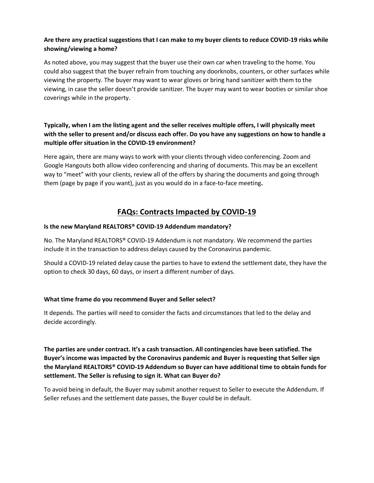#### **Are there any practical suggestions that I can make to my buyer clients to reduce COVID-19 risks while showing/viewing a home?**

As noted above, you may suggest that the buyer use their own car when traveling to the home. You could also suggest that the buyer refrain from touching any doorknobs, counters, or other surfaces while viewing the property. The buyer may want to wear gloves or bring hand sanitizer with them to the viewing, in case the seller doesn't provide sanitizer. The buyer may want to wear booties or similar shoe coverings while in the property.

#### **Typically, when I am the listing agent and the seller receives multiple offers, I will physically meet with the seller to present and/or discuss each offer. Do you have any suggestions on how to handle a multiple offer situation in the COVID-19 environment?**

Here again, there are many ways to work with your clients through video conferencing. Zoom and Google Hangouts both allow video conferencing and sharing of documents. This may be an excellent way to "meet" with your clients, review all of the offers by sharing the documents and going through them (page by page if you want), just as you would do in a face-to-face meeting**.**

### **FAQs: Contracts Impacted by COVID-19**

#### **Is the new Maryland REALTORS® COVID-19 Addendum mandatory?**

No. The Maryland REALTORS® COVID-19 Addendum is not mandatory. We recommend the parties include it in the transaction to address delays caused by the Coronavirus pandemic.

Should a COVID-19 related delay cause the parties to have to extend the settlement date, they have the option to check 30 days, 60 days, or insert a different number of days.

#### **What time frame do you recommend Buyer and Seller select?**

It depends. The parties will need to consider the facts and circumstances that led to the delay and decide accordingly.

**The parties are under contract. It's a cash transaction. All contingencies have been satisfied. The Buyer's income was impacted by the Coronavirus pandemic and Buyer is requesting that Seller sign the Maryland REALTORS® COVID-19 Addendum so Buyer can have additional time to obtain funds for settlement. The Seller is refusing to sign it. What can Buyer do?**

To avoid being in default, the Buyer may submit another request to Seller to execute the Addendum. If Seller refuses and the settlement date passes, the Buyer could be in default.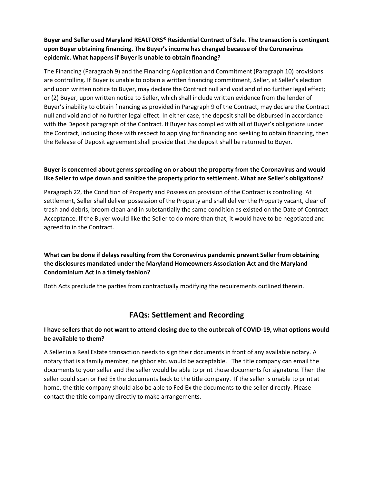#### **Buyer and Seller used Maryland REALTORS® Residential Contract of Sale. The transaction is contingent upon Buyer obtaining financing. The Buyer's income has changed because of the Coronavirus epidemic. What happens if Buyer is unable to obtain financing?**

The Financing (Paragraph 9) and the Financing Application and Commitment (Paragraph 10) provisions are controlling. If Buyer is unable to obtain a written financing commitment, Seller, at Seller's election and upon written notice to Buyer, may declare the Contract null and void and of no further legal effect; or (2) Buyer, upon written notice to Seller, which shall include written evidence from the lender of Buyer's inability to obtain financing as provided in Paragraph 9 of the Contract, may declare the Contract null and void and of no further legal effect. In either case, the deposit shall be disbursed in accordance with the Deposit paragraph of the Contract. If Buyer has complied with all of Buyer's obligations under the Contract, including those with respect to applying for financing and seeking to obtain financing, then the Release of Deposit agreement shall provide that the deposit shall be returned to Buyer.

#### **Buyer is concerned about germs spreading on or about the property from the Coronavirus and would like Seller to wipe down and sanitize the property prior to settlement. What are Seller's obligations?**

Paragraph 22, the Condition of Property and Possession provision of the Contract is controlling. At settlement, Seller shall deliver possession of the Property and shall deliver the Property vacant, clear of trash and debris, broom clean and in substantially the same condition as existed on the Date of Contract Acceptance. If the Buyer would like the Seller to do more than that, it would have to be negotiated and agreed to in the Contract.

#### **What can be done if delays resulting from the Coronavirus pandemic prevent Seller from obtaining the disclosures mandated under the Maryland Homeowners Association Act and the Maryland Condominium Act in a timely fashion?**

Both Acts preclude the parties from contractually modifying the requirements outlined therein.

## **FAQs: Settlement and Recording**

#### **I have sellers that do not want to attend closing due to the outbreak of COVID-19, what options would be available to them?**

A Seller in a Real Estate transaction needs to sign their documents in front of any available notary. A notary that is a family member, neighbor etc. would be acceptable. The title company can email the documents to your seller and the seller would be able to print those documents for signature. Then the seller could scan or Fed Ex the documents back to the title company. If the seller is unable to print at home, the title company should also be able to Fed Ex the documents to the seller directly. Please contact the title company directly to make arrangements.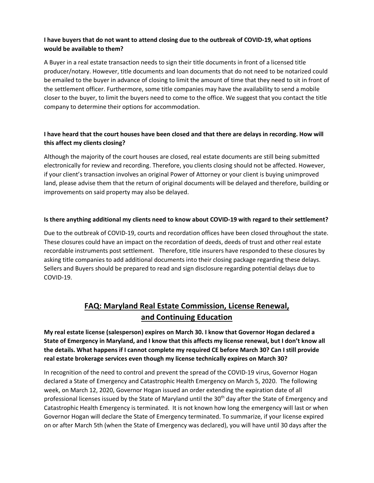#### **I have buyers that do not want to attend closing due to the outbreak of COVID-19, what options would be available to them?**

A Buyer in a real estate transaction needs to sign their title documents in front of a licensed title producer/notary. However, title documents and loan documents that do not need to be notarized could be emailed to the buyer in advance of closing to limit the amount of time that they need to sit in front of the settlement officer. Furthermore, some title companies may have the availability to send a mobile closer to the buyer, to limit the buyers need to come to the office. We suggest that you contact the title company to determine their options for accommodation.

#### **I have heard that the court houses have been closed and that there are delays in recording. How will this affect my clients closing?**

Although the majority of the court houses are closed, real estate documents are still being submitted electronically for review and recording. Therefore, you clients closing should not be affected. However, if your client's transaction involves an original Power of Attorney or your client is buying unimproved land, please advise them that the return of original documents will be delayed and therefore, building or improvements on said property may also be delayed.

#### **Is there anything additional my clients need to know about COVID-19 with regard to their settlement?**

Due to the outbreak of COVID-19, courts and recordation offices have been closed throughout the state. These closures could have an impact on the recordation of deeds, deeds of trust and other real estate recordable instruments post settlement. Therefore, title insurers have responded to these closures by asking title companies to add additional documents into their closing package regarding these delays. Sellers and Buyers should be prepared to read and sign disclosure regarding potential delays due to COVID-19.

## **FAQ: Maryland Real Estate Commission, License Renewal, and Continuing Education**

**My real estate license (salesperson) expires on March 30. I know that Governor Hogan declared a State of Emergency in Maryland, and I know that this affects my license renewal, but I don't know all the details. What happens if I cannot complete my required CE before March 30? Can I still provide real estate brokerage services even though my license technically expires on March 30?**

In recognition of the need to control and prevent the spread of the COVID-19 virus, Governor Hogan declared a State of Emergency and Catastrophic Health Emergency on March 5, 2020. The following week, on March 12, 2020, Governor Hogan issued an order extending the expiration date of all professional licenses issued by the State of Maryland until the 30<sup>th</sup> day after the State of Emergency and Catastrophic Health Emergency is terminated. It is not known how long the emergency will last or when Governor Hogan will declare the State of Emergency terminated. To summarize, if your license expired on or after March 5th (when the State of Emergency was declared), you will have until 30 days after the